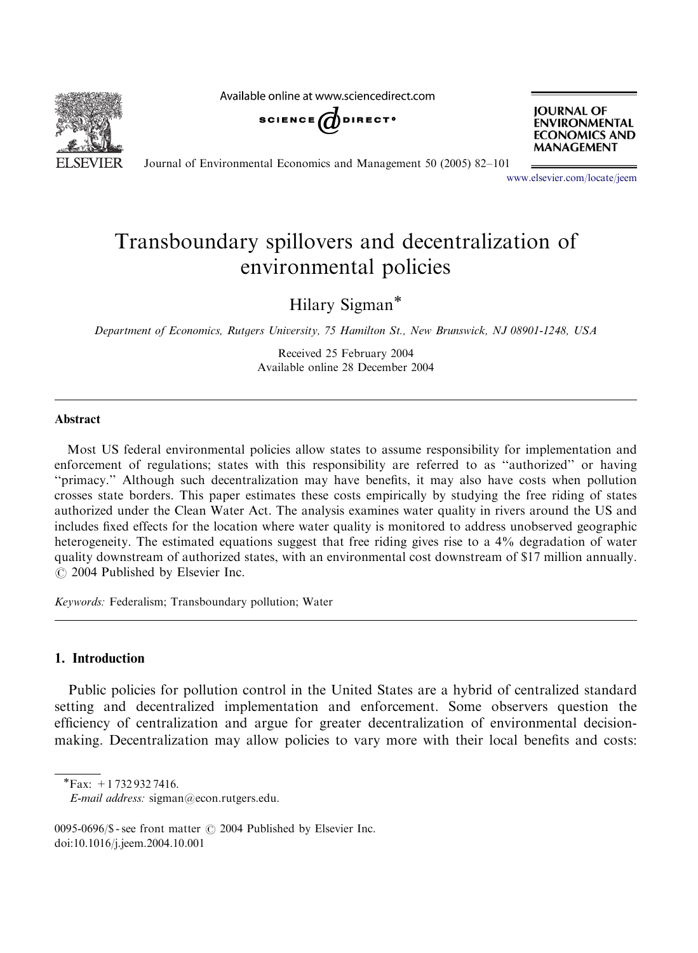

Available online at www.sciencedirect.com



**JOURNAL OF ENVIRONMENTAL ECONOMICS AND MANAGEMENT** 

Journal of Environmental Economics and Management 50 (2005) 82–101

www.elsevier.com/locate/jeem

# Transboundary spillovers and decentralization of environmental policies

Hilary Sigman

Department of Economics, Rutgers University, 75 Hamilton St., New Brunswick, NJ 08901-1248, USA

Received 25 February 2004 Available online 28 December 2004

#### Abstract

Most US federal environmental policies allow states to assume responsibility for implementation and enforcement of regulations; states with this responsibility are referred to as ''authorized'' or having ''primacy.'' Although such decentralization may have benefits, it may also have costs when pollution crosses state borders. This paper estimates these costs empirically by studying the free riding of states authorized under the Clean Water Act. The analysis examines water quality in rivers around the US and includes fixed effects for the location where water quality is monitored to address unobserved geographic heterogeneity. The estimated equations suggest that free riding gives rise to a 4% degradation of water quality downstream of authorized states, with an environmental cost downstream of \$17 million annually.  $\odot$  2004 Published by Elsevier Inc.

Keywords: Federalism; Transboundary pollution; Water

# 1. Introduction

Public policies for pollution control in the United States are a hybrid of centralized standard setting and decentralized implementation and enforcement. Some observers question the efficiency of centralization and argue for greater decentralization of environmental decisionmaking. Decentralization may allow policies to vary more with their local benefits and costs:

 $*Fax: +17329327416.$ 

E-mail address: sigman@econ.rutgers.edu.

<sup>0095-0696/\$ -</sup> see front matter  $\odot$  2004 Published by Elsevier Inc. doi:10.1016/j.jeem.2004.10.001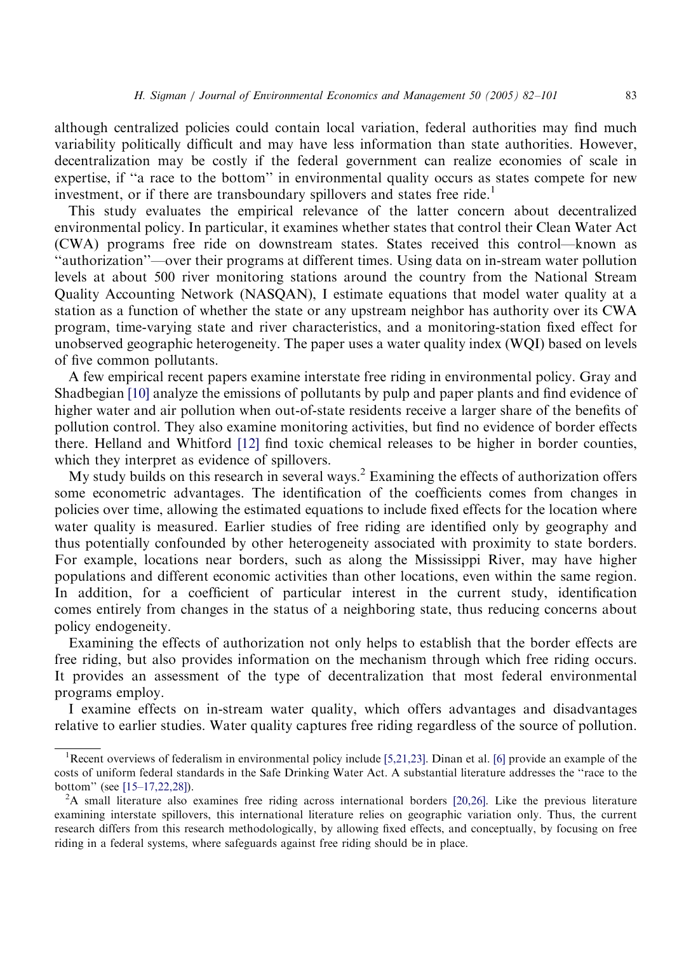although centralized policies could contain local variation, federal authorities may find much variability politically difficult and may have less information than state authorities. However, decentralization may be costly if the federal government can realize economies of scale in expertise, if ''a race to the bottom'' in environmental quality occurs as states compete for new investment, or if there are transboundary spillovers and states free ride.<sup>1</sup>

This study evaluates the empirical relevance of the latter concern about decentralized environmental policy. In particular, it examines whether states that control their Clean Water Act (CWA) programs free ride on downstream states. States received this control—known as ''authorization''—over their programs at different times. Using data on in-stream water pollution levels at about 500 river monitoring stations around the country from the National Stream Quality Accounting Network (NASQAN), I estimate equations that model water quality at a station as a function of whether the state or any upstream neighbor has authority over its CWA program, time-varying state and river characteristics, and a monitoring-station fixed effect for unobserved [geog](#page-18-0)raphic heterogeneity. The paper uses a water quality index (WQI) based on levels of five common pollutants.

A few empirical recent papers examine interstate free riding in environmental policy. Gray and Shadbegian [10] analyze the e[missi](#page-18-0)ons of pollutants by pulp and paper plants and find evidence of higher water and air pollution when out-of-state residents receive a larger share of the benefits of pollution control. They also examine monitoring activities, but find no evidence of border effects there. Helland and Whitford [12] find toxic chemical releases to be higher in border counties, which they interpret as evidence of spillovers.

My study builds on this research in several ways.<sup>2</sup> Examining the effects of authorization offers some econometric advantages. The identification of the coefficients comes from changes in policies over time, allowing the estimated equations to include fixed effects for the location where water quality is measured. Earlier studies of free riding are identified only by geography and thus potentially confounded by other heterogeneity associated with proximity to state borders. For example, locations near borders, such as along the Mississippi River, may have higher populations and different economic activities than other locations, even within the same region. In addition, for a coefficient of particular interest in the current study, identification comes entirely from changes in the status of a neighboring state, thus reducing concerns about policy endogeneity.

Examining the effects of authorization not only helps to establish that the border effects are free riding, but also provides information on the mechanism through which free riding occurs. It provides an assessment of the type of decentralization that most federal environmental programs employ.

I examine effects on in-stream water quality, wh[ich offe](#page-18-0)rs advant[age](#page-18-0)s and disadvantages relative to earlier studies. Water quality captures free riding regardless of the source of pollution.

<sup>&</sup>lt;sup>1</sup>Recent overviews of federalism in environmental policy include [5,21,23]. Din[an](#page-19-0) [et](#page-19-0) [al](#page-19-0). [6] provide an example of the costs of uniform federal standards in the Safe Drinking Water Act. A substantial literature addresses the ''race to the bottom" (see  $[15-17, 22, 28]$ ).

 ${}^{2}$ A small literature also examines free riding across international borders [20,26]. Like the previous literature examining interstate spillovers, this international literature relies on geographic variation only. Thus, the current research differs from this research methodologically, by allowing fixed effects, and conceptually, by focusing on free riding in a federal systems, where safeguards against free riding should be in place.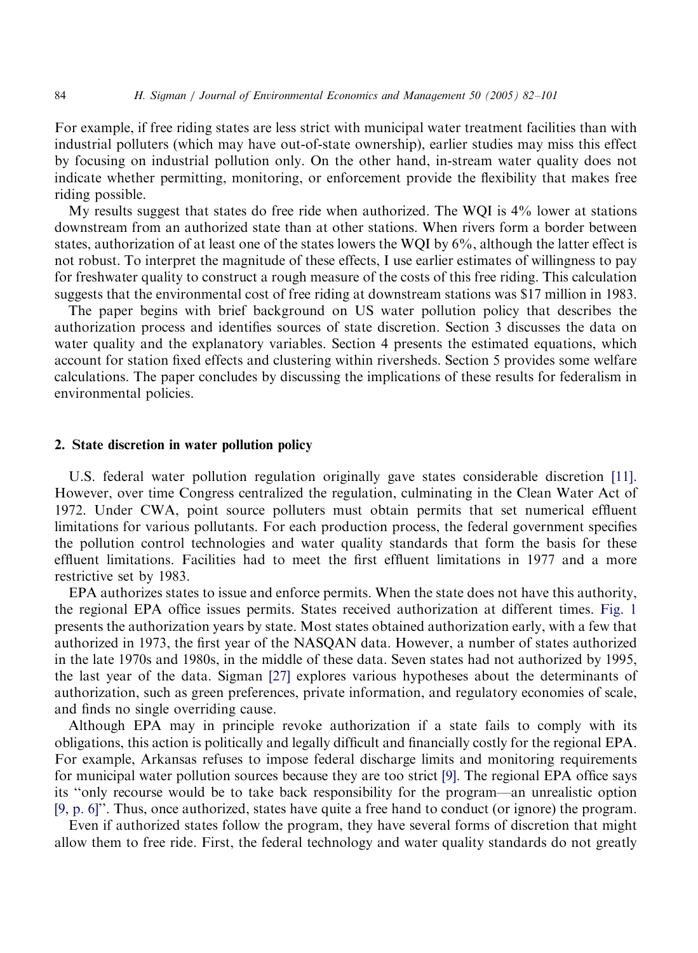For example, if free riding states are less strict with municipal water treatment facilities than with industrial polluters (which may have out-of-state ownership), earlier studies may miss this effect by focusing on industrial pollution only. On the other hand, in-stream water quality does not indicate whether permitting, monitoring, or enforcement provide the flexibility that makes free riding possible.

My results suggest that states do free ride when authorized. The WQI is 4% lower at stations downstream from an authorized state than at other stations. When rivers form a border between states, authorization of at least one of the states lowers the WQI by  $6\%$ , although the latter effect is not robust. To interpret the magnitude of these effects, I use earlier estimates of willingness to pay for freshwater quality to construct a rough measure of the costs of this free riding. This calculation suggests that the environmental cost of free riding at downstream stations was \$17 million in 1983.

The paper begins with brief background on US water pollution policy that describes the authorization process and identifies sources of state discretion. Section 3 discusses the data on water quality and the explanatory variables. Section 4 presents the estimated equations, which account for station fixed effects and clustering within riversheds. Section 5 provides some welfare calculations. The paper concludes by discussing the implications of these results for federalism in environmental policies.

# 2. State discretion in water pollution policy

U.S. federal water pollution regulation originally gave states considerable discretion [11]. However, over time Congress centralized the regulation, culminating in the Clean Water Act of 1972. Under CWA, point source polluters must obtain permits that set numerical effluent limitations for various pollutants. For each production process, the federal government specifies the pollution control technologies and water quality standards that form the basis for these effluent limitations. Facilities had to meet the first effluent limitations in 1977 and a [more](#page-3-0) restrictive set by 1983.

EPA authorizes states to issue and enforce permits. When the state does not have this authority, the regional EPA office issues permits. States received authorization at different times. Fig. 1 presents the authorization years by [state](#page-19-0). Most states obtained authorization early, with a few that authorized in 1973, the first year of the NASQAN data. However, a number of states authorized in the late 1970s and 1980s, in the middle of these data. Seven states had not authorized by 1995, the last year of the data. Sigman [27] explores various hypotheses about the determinants of authorization, such as green preferences, private information, and regulatory economies of scale, and finds no single overriding cause.

Although EPA may in principle revoke authorization if a [st](#page-18-0)ate fails to comply with its obligations, this action is politically and legally difficult and financially costly for the regional EPA. [For exa](#page-18-0)mple, Arkansas refuses to impose federal discharge limits and monitoring requirements for municipal water pollution sources because they are too strict [9]. The regional EPA office says its ''only recourse would be to take back responsibility for the program—an unrealistic option [9, p. 6]''. Thus, once authorized, states have quite a free hand to conduct (or ignore) the program.

Even if authorized states follow the program, they have several forms of discretion that might allow them to free ride. First, the federal technology and water quality standards do not greatly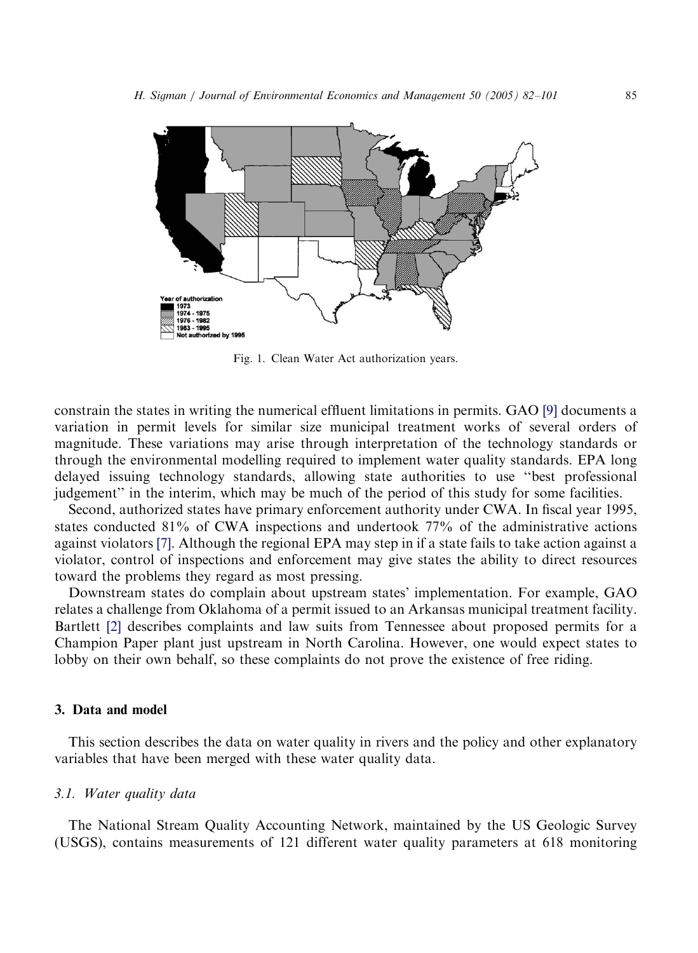<span id="page-3-0"></span>

Fig. 1. Clean Water Act authorization years.

constrain the states in writing the numerical effluent limitations in permits. GAO [9] documents a variation in permit levels for similar size municipal treatment works of several orders of magnitude. These variations may arise through interpretation of the technology standards or through the environmental modelling required to implement water quality standards. EPA long delayed issuing technology standards, allowing state authorities to use ''best professional judgement'' in t[he i](#page-18-0)nterim, which may be much of the period of this study for some facilities.

Second, authorized states have primary enforcement authority under CWA. In fiscal year 1995, states conducted 81% of CWA inspections and undertook 77% of the administrative actions against violators [7]. Although the regional EPA may step in if a state fails to take action against a violator, control of inspections and enforcement may give states the ability to direct resources toward [the](#page-18-0) problems they regard as most pressing.

Downstream states do complain about upstream states' implementation. For example, GAO relates a challenge from Oklahoma of a permit issued to an Arkansas municipal treatment facility. Bartlett [2] describes complaints and law suits from Tennessee about proposed permits for a Champion Paper plant just upstream in North Carolina. However, one would expect states to lobby on their own behalf, so these complaints do not prove the existence of free riding.

# 3. Data and model

This section describes the data on water quality in rivers and the policy and other explanatory variables that have been merged with these water quality data.

# 3.1. Water quality data

The National Stream Quality Accounting Network, maintained by the US Geologic Survey (USGS), contains measurements of 121 different water quality parameters at 618 monitoring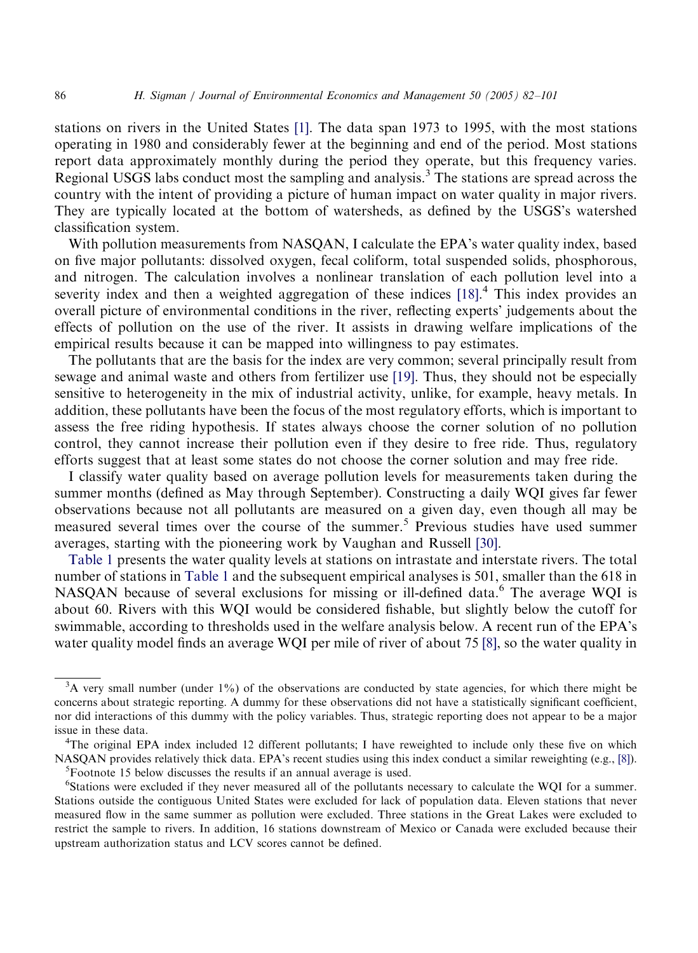stations on rivers in the United States [1]. The data span 1973 to 1995, with the most stations operating in 1980 and considerably fewer at the beginning and end of the period. Most stations report data approximately monthly during the period they operate, but this frequency varies. Regional USGS labs conduct most the sampling and analysis.<sup>3</sup> The stations are spread across the country with the intent of providing a picture of human impact on water quality in major rivers. They are typically located at the bottom of watersheds, as defined by the USGS's watershed classification system.

With pollution measurements from NASQAN, I calculate the EP[A's](#page-18-0) water quality index, based on five major pollutants: dissolved oxygen, fecal coliform, total suspended solids, phosphorous, and nitrogen. The calculation involves a nonlinear translation of each pollution level into a severity index and then a weighted aggregation of these indices [18].<sup>4</sup> This index provides an overall picture of environmental conditions in the river, reflecting experts' judgements about the effects of pollution on the use of the river. It assists [in d](#page-18-0)rawing welfare implications of the empirical results because it can be mapped into willingness to pay estimates.

The pollutants that are the basis for the index are very common; several principally result from sewage and animal waste and others from fertilizer use [19]. Thus, they should not be especially sensitive to heterogeneity in the mix of industrial activity, unlike, for example, heavy metals. In addition, these pollutants have been the focus of the most regulatory efforts, which is important to assess the free riding hypothesis. If states always choose the corner solution of no pollution control, they cannot increase their pollution even if they desire to free ride. Thus, regulatory efforts suggest that at least some states do not choose the corner solution and may free ride.

I classify water quality based on average pollution levels for measurements taken during the summer months (defined as May through September). Constructing [a dai](#page-19-0)ly WQI gives far fewer o[bservatio](#page-5-0)ns because not all pollutants are measured on a given day, even though all may be measured several ti[mes over](#page-5-0) the course of the summer.5 Previous studies have used summer averages, starting with the pioneering work by Vaughan and Russell [30].

Table 1 presents the water quality levels at stations on intrastate and interstate rivers. The total number of stations in Table 1 and the subsequent empirical analyses is 501, smaller than the 618 in NASQAN because of several exclusions for missing or ill-defined d[ata.](#page-18-0)<sup>6</sup> The average WQI is about 60. Rivers with this WQI would be considered fishable, but slightly below the cutoff for swimmable, according to thresholds used in the welfare analysis below. A recent run of the EPA's water quality model finds an average WQI per mile of river of about 75 [8], so the water quality in

 $3A$  very small number (under 1%) of the observations are conducted by state agencies, for which there might be concerns about strategic reporting. A dummy for these observations did not have a statistically significant coefficient, nor did interactions of this dummy with the policy variables. Thus, strategic reporting does not appear to be a m[ajo](#page-18-0)r issue in these data.

<sup>&</sup>lt;sup>4</sup>The original EPA index included 12 different pollutants; I have reweighted to include only these five on which NASQAN provides relatively thick data. EPA's recent studies using this index conduct a similar reweighting (e.g., [8]). <sup>5</sup> <sup>5</sup>Footnote 15 below discusses the results if an annual average is used.

<sup>&</sup>lt;sup>6</sup>Stations were excluded if they never measured all of the pollutants necessary to calculate the WQI for a summer. Stations outside the contiguous United States were excluded for lack of population data. Eleven stations that never measured flow in the same summer as pollution were excluded. Three stations in the Great Lakes were excluded to restrict the sample to rivers. In addition, 16 stations downstream of Mexico or Canada were excluded because their upstream authorization status and LCV scores cannot be defined.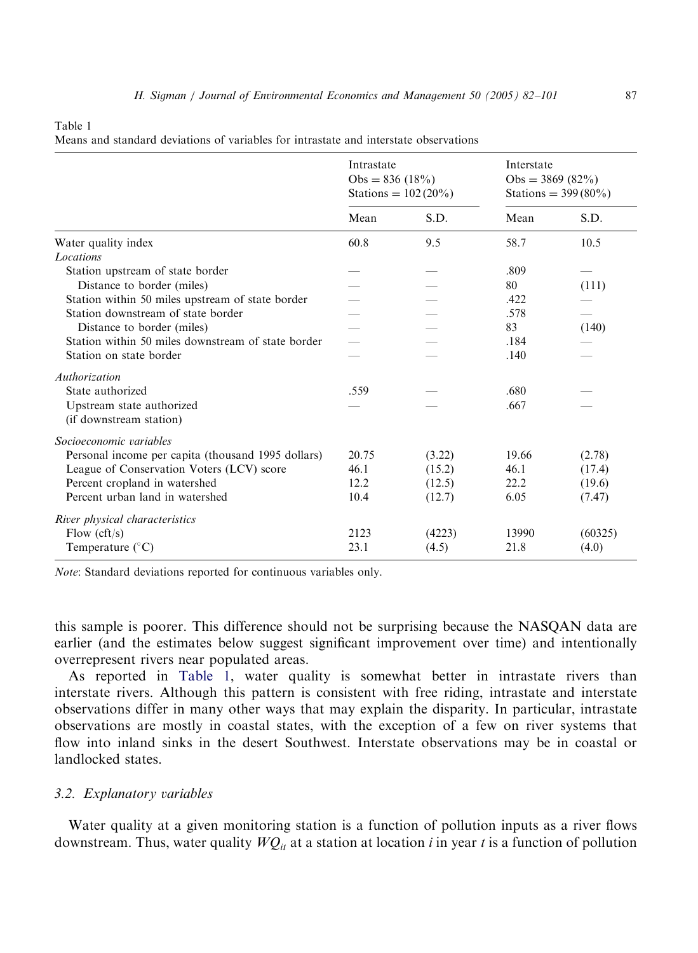#### <span id="page-5-0"></span>Table 1

Means and standard deviations of variables for intrastate and interstate observations

|                                                    | Intrastate<br>$Obs = 836 (18\%)$<br>Stations = $102(20\%)$ |        | Interstate<br>$Obs = 3869 (82\%)$<br>Stations = $399(80\%)$ |         |
|----------------------------------------------------|------------------------------------------------------------|--------|-------------------------------------------------------------|---------|
|                                                    | Mean                                                       | S.D.   | Mean                                                        | S.D.    |
| Water quality index                                | 60.8                                                       | 9.5    | 58.7                                                        | 10.5    |
| Locations                                          |                                                            |        |                                                             |         |
| Station upstream of state border                   |                                                            |        | .809                                                        |         |
| Distance to border (miles)                         |                                                            |        | 80                                                          | (111)   |
| Station within 50 miles upstream of state border   |                                                            |        | .422                                                        |         |
| Station downstream of state border                 |                                                            |        | .578                                                        |         |
| Distance to border (miles)                         |                                                            |        | 83                                                          | (140)   |
| Station within 50 miles downstream of state border |                                                            |        | .184                                                        |         |
| Station on state border                            |                                                            |        | .140                                                        |         |
| Authorization                                      |                                                            |        |                                                             |         |
| State authorized                                   | .559                                                       |        | .680                                                        |         |
| Upstream state authorized                          |                                                            |        | .667                                                        |         |
| (if downstream station)                            |                                                            |        |                                                             |         |
| Socioeconomic variables                            |                                                            |        |                                                             |         |
| Personal income per capita (thousand 1995 dollars) | 20.75                                                      | (3.22) | 19.66                                                       | (2.78)  |
| League of Conservation Voters (LCV) score          | 46.1                                                       | (15.2) | 46.1                                                        | (17.4)  |
| Percent cropland in watershed                      | 12.2                                                       | (12.5) | 22.2                                                        | (19.6)  |
| Percent urban land in watershed                    | 10.4                                                       | (12.7) | 6.05                                                        | (7.47)  |
| River physical characteristics                     |                                                            |        |                                                             |         |
| Flow $(cfs)$                                       | 2123                                                       | (4223) | 13990                                                       | (60325) |
| Temperature $(^{\circ}C)$                          | 23.1                                                       | (4.5)  | 21.8                                                        | (4.0)   |
|                                                    |                                                            |        |                                                             |         |

Note: Standard deviations reported for continuous variables only.

this sample is poorer. This difference should not be surprising because the NASQAN data are earlier (and the estimates below suggest significant improvement over time) and intentionally overrepresent rivers near populated areas.

As reported in Table 1, water quality is somewhat better in intrastate rivers than interstate rivers. Although this pattern is consistent with free riding, intrastate and interstate observations differ in many other ways that may explain the disparity. In particular, intrastate observations are mostly in coastal states, with the exception of a few on river systems that flow into inland sinks in the desert Southwest. Interstate observations may be in coastal or landlocked states.

# 3.2. Explanatory variables

Water quality at a given monitoring station is a function of pollution inputs as a river flows downstream. Thus, water quality  $WQ_{it}$  at a station at location *i* in year *t* is a function of pollution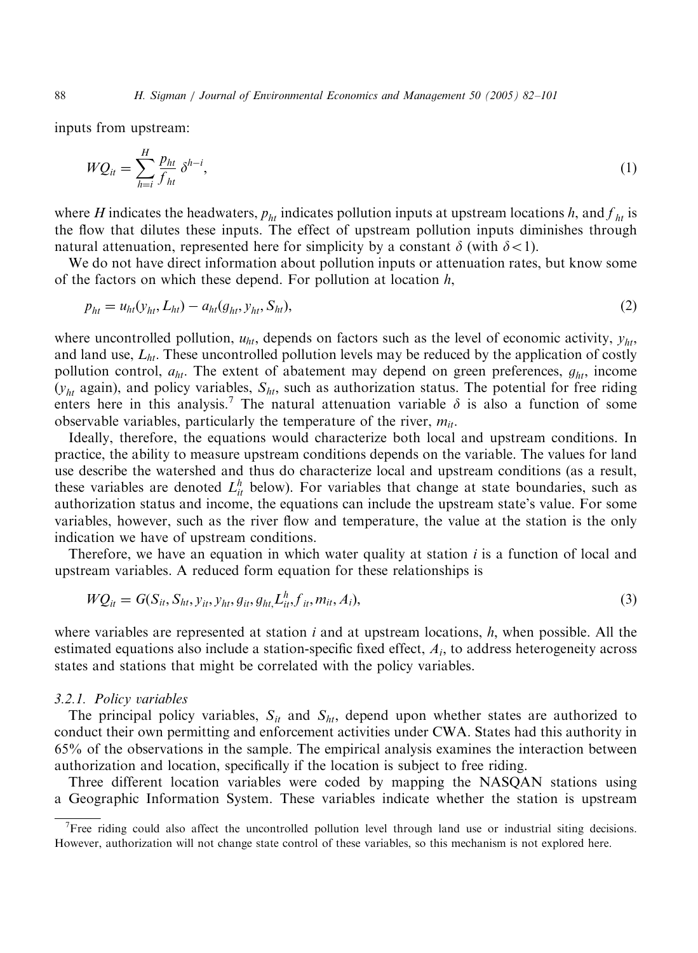inputs from upstream:

 $\overline{H}$ 

$$
WQ_{it} = \sum_{h=i}^{H} \frac{p_{ht}}{f_{ht}} \delta^{h-i},\tag{1}
$$

where H indicates the headwaters,  $p_{ht}$  indicates pollution inputs at upstream locations h, and  $f_{ht}$  is the flow that dilutes these inputs. The effect of upstream pollution inputs diminishes through natural attenuation, represented here for simplicity by a constant  $\delta$  (with  $\delta$  < 1).

We do not have direct information about pollution inputs or attenuation rates, but know some of the factors on which these depend. For pollution at location  $h$ ,

$$
p_{ht} = u_{ht}(y_{ht}, L_{ht}) - a_{ht}(g_{ht}, y_{ht}, S_{ht}),
$$
\n(2)

where uncontrolled pollution,  $u_{ht}$ , depends on factors such as the level of economic activity,  $y_{ht}$ , and land use,  $L_{ht}$ . These uncontrolled pollution levels may be reduced by the application of costly pollution control,  $a_{ht}$ . The extent of abatement may depend on green preferences,  $g_{ht}$ , income  $(y<sub>ht</sub>$  again), and policy variables,  $S<sub>ht</sub>$ , such as authorization status. The potential for free riding enters here in this analysis.<sup>7</sup> The natural attenuation variable  $\delta$  is also a function of some observable variables, particularly the temperature of the river,  $m_{it}$ .

Ideally, therefore, the equations would characterize both local and upstream conditions. In practice, the ability to measure upstream conditions depends on the variable. The values for land use describe the watershed and thus do characterize local and upstream conditions (as a result, these variables are denoted  $L_{it}^{h}$  below). For variables that change at state boundaries, such as authorization status and income, the equations can include the upstream state's value. For some variables, however, such as the river flow and temperature, the value at the station is the only indication we have of upstream conditions.

Therefore, we have an equation in which water quality at station  $i$  is a function of local and upstream variables. A reduced form equation for these relationships is

 $\overline{L}$ 

$$
WQ_{it} = G(S_{it}, S_{ht}, y_{it}, y_{ht}, g_{it}, g_{ht}, L_{it}^h, f_{it}, m_{it}, A_i),
$$
\n(3)

where variables are represented at station  $i$  and at upstream locations,  $h$ , when possible. All the estimated equations also include a station-specific fixed effect,  $A_i$ , to address heterogeneity across states and stations that might be correlated with the policy variables.

#### 3.2.1. Policy variables

The principal policy variables,  $S_{it}$  and  $S_{ht}$ , depend upon whether states are authorized to conduct their own permitting and enforcement activities under CWA. States had this authority in 65% of the observations in the sample. The empirical analysis examines the interaction between authorization and location, specifically if the location is subject to free riding.

Three different location variables were coded by mapping the NASQAN stations using a Geographic Information System. These variables indicate whether the station is upstream

<sup>&</sup>lt;sup>7</sup>Free riding could also affect the uncontrolled pollution level through land use or industrial siting decisions. However, authorization will not change state control of these variables, so this mechanism is not explored here.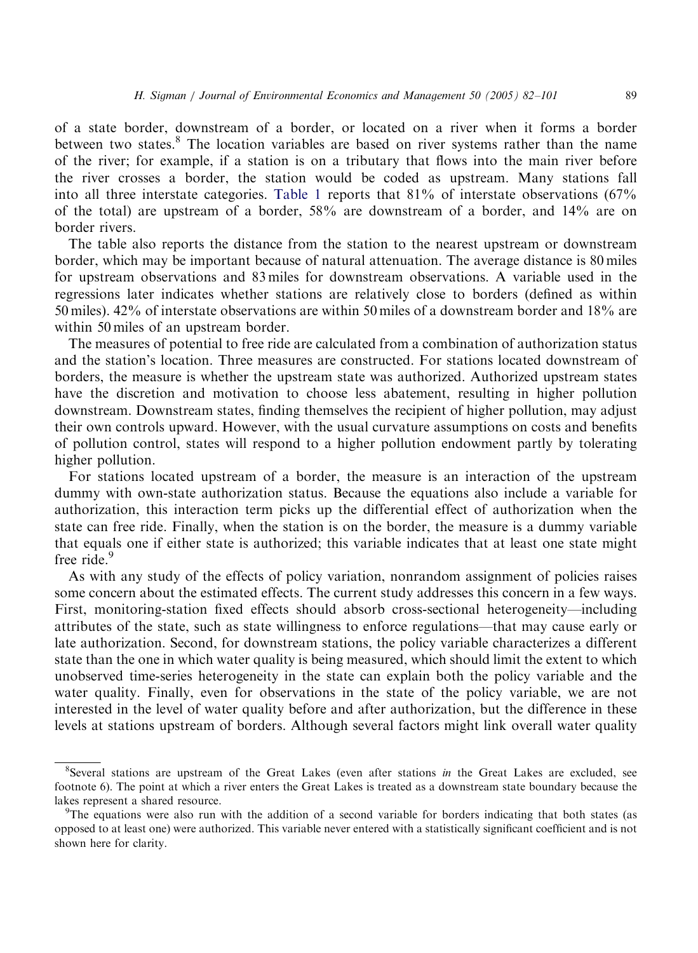of a state border, downstream of a border, or located on a river when it forms a border between two states. $8$  The location [variables](#page-5-0) are based on river systems rather than the name of the river; for example, if a station is on a tributary that flows into the main river before the river crosses a border, the station would be coded as upstream. Many stations fall into all three interstate categories. Table 1 reports that 81% of interstate observations (67% of the total) are upstream of a border, 58% are downstream of a border, and 14% are on border rivers.

The table also reports the distance from the station to the nearest upstream or downstream border, which may be important because of natural attenuation. The average distance is 80 miles for upstream observations and 83 miles for downstream observations. A variable used in the regressions later indicates whether stations are relatively close to borders (defined as within 50 miles). 42% of interstate observations are within 50 miles of a downstream border and 18% are within 50 miles of an upstream border.

The measures of potential to free ride are calculated from a combination of authorization status and the station's location. Three measures are constructed. For stations located downstream of borders, the measure is whether the upstream state was authorized. Authorized upstream states have the discretion and motivation to choose less abatement, resulting in higher pollution downstream. Downstream states, finding themselves the recipient of higher pollution, may adjust their own controls upward. However, with the usual curvature assumptions on costs and benefits of pollution control, states will respond to a higher pollution endowment partly by tolerating higher pollution.

For stations located upstream of a border, the measure is an interaction of the upstream dummy with own-state authorization status. Because the equations also include a variable for authorization, this interaction term picks up the differential effect of authorization when the state can free ride. Finally, when the station is on the border, the measure is a dummy variable that equals one if either state is authorized; this variable indicates that at least one state might free ride.<sup>9</sup>

As with any study of the effects of policy variation, nonrandom assignment of policies raises some concern about the estimated effects. The current study addresses this concern in a few ways. First, monitoring-station fixed effects should absorb cross-sectional heterogeneity—including attributes of the state, such as state willingness to enforce regulations—that may cause early or late authorization. Second, for downstream stations, the policy variable characterizes a different state than the one in which water quality is being measured, which should limit the extent to which unobserved time-series heterogeneity in the state can explain both the policy variable and the water quality. Finally, even for observations in the state of the policy variable, we are not interested in the level of water quality before and after authorization, but the difference in these levels at stations upstream of borders. Although several factors might link overall water quality

<sup>&</sup>lt;sup>8</sup>Several stations are upstream of the Great Lakes (even after stations in the Great Lakes are excluded, see footnote 6). The point at which a river enters the Great Lakes is treated as a downstream state boundary because the lakes represent a shared resource.

<sup>&</sup>lt;sup>9</sup>The equations were also run with the addition of a second variable for borders indicating that both states (as opposed to at least one) were authorized. This variable never entered with a statistically significant coefficient and is not shown here for clarity.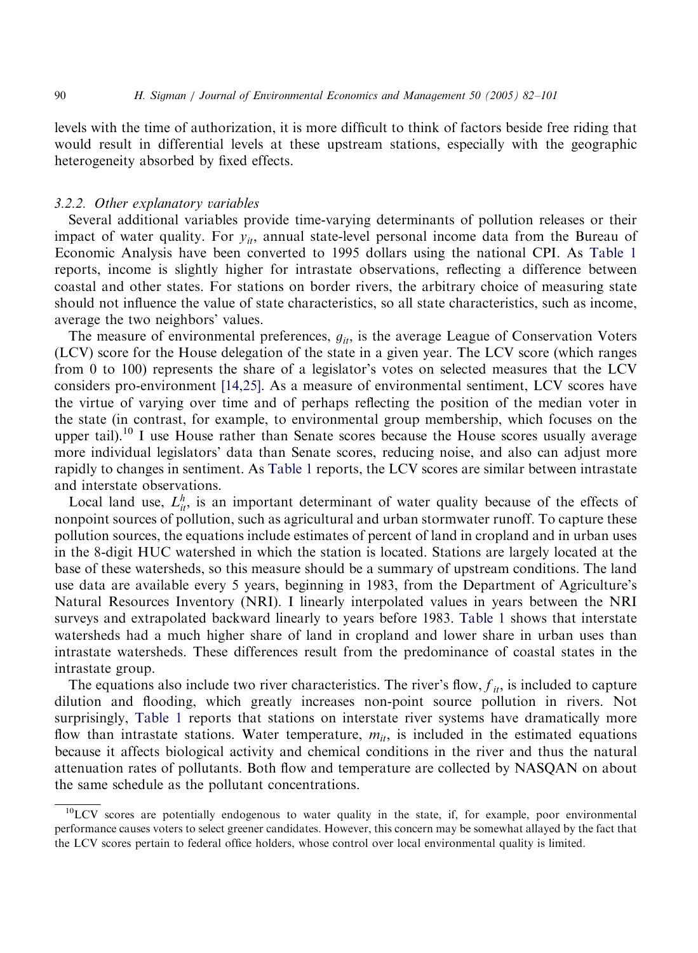levels with the time of authorization, it is more difficult to think of factors beside free riding that would result in differential levels at these upstream stations, especially with the geographic heterogeneity absorbed by fixed effects.

## 3.2.2. Other explanatory variables

Several additional variables provide time-varying determinants of pollution releases [or](#page-5-0) [their](#page-5-0) impact of water quality. For  $y_{it}$ , annual state-level personal income data from the Bureau of Economic Analysis have been converted to 1995 dollars using the national CPI. As Table 1 reports, income is slightly higher for intrastate observations, reflecting a difference between coastal and other states. For stations on border rivers, the arbitrary choice of measuring state should not influence the value of state characteristics, so all state characteristics, such as income, average the two neighbors' values.

The measure of environ[mental p](#page-18-0)references,  $g_{it}$ , is the average League of Conservation Voters (LCV) score for the House delegation of the state in a given year. The LCV score (which ranges from 0 to 100) represents the share of a legislator's votes on selected measures that the LCV considers pro-environment [14,25]. As a measure of environmental sentiment, LCV scores have the virtue of varying over time and of perhaps reflecting the position of the median voter in the state (in contrast, for example[, to envi](#page-5-0)ronmental group membership, which focuses on the upper tail).<sup>10</sup> I use House rather than Senate scores because the House scores usually average more individual legislators' data than Senate scores, reducing noise, and also can adjust more rapidly to changes in sentiment. As Table 1 reports, the LCV scores are similar between intrastate and interstate observations.

Local land use,  $L_{it}^{h}$ , is an important determinant of water quality because of the effects of nonpoint sources of pollution, such as agricultural and urban stormwater runoff. To capture these pollution sources, the equations include estimates of percent of land in cropland and in urban uses in the 8-digit HUC watershed in which the station is located. Stations are largely located at the base of these watersheds, so this measure should be a summary of [upstream](#page-5-0) conditions. The land use data are available every 5 years, beginning in 1983, from the Department of Agriculture's Natural Resources Inventory (NRI). I linearly interpolated values in years between the NRI surveys and extrapolated backward linearly to years before 1983. Table 1 shows that interstate watersheds had a much higher share of land in cropland and lower share in urban uses than intrastate watersheds. These differences result from the predominance of coastal states in the intrastate gr[oup.](#page-5-0)

The equations also include two river characteristics. The river's flow,  $f_{it}$ , is included to capture dilution and flooding, which greatly increases non-point source pollution in rivers. Not surprisingly, Table 1 reports that stations on interstate river systems have dramatically more flow than intrastate stations. Water temperature,  $m_{it}$ , is included in the estimated equations because it affects biological activity and chemical conditions in the river and thus the natural attenuation rates of pollutants. Both flow and temperature are collected by NASQAN on about the same schedule as the pollutant concentrations.

<sup>&</sup>lt;sup>10</sup>LCV scores are potentially endogenous to water quality in the state, if, for example, poor environmental performance causes voters to select greener candidates. However, this concern may be somewhat allayed by the fact that the LCV scores pertain to federal office holders, whose control over local environmental quality is limited.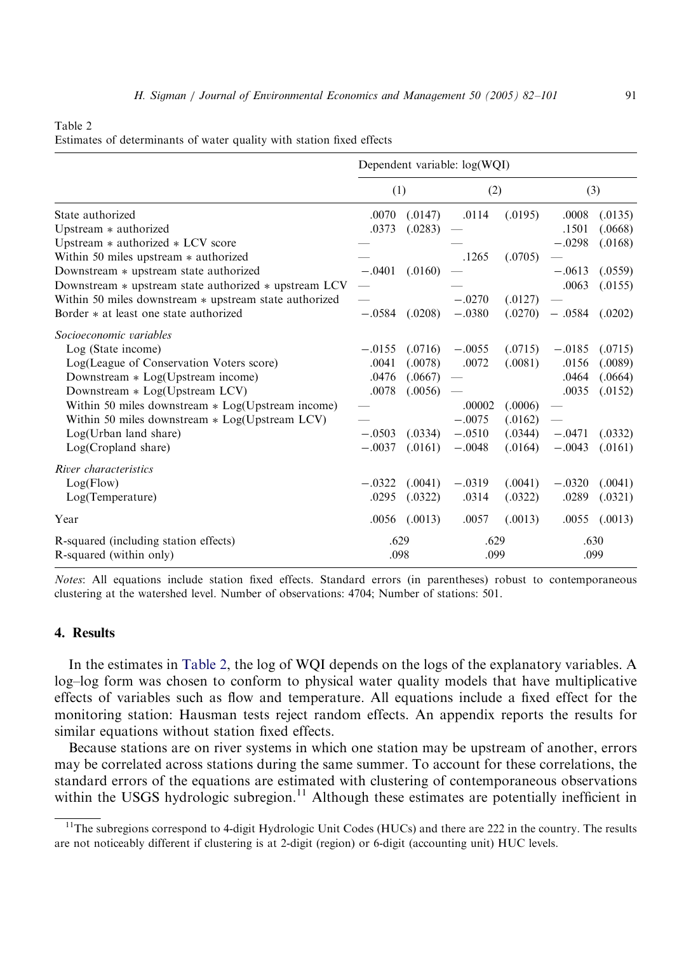<span id="page-9-0"></span>Table 2

Estimates of determinants of water quality with station fixed effects

|                                                                                                                                                                                                                                                                                                                         | Dependent variable: log(WQI)                                |                                                                |                                                                 |                                                                |                                                             |                                                                |
|-------------------------------------------------------------------------------------------------------------------------------------------------------------------------------------------------------------------------------------------------------------------------------------------------------------------------|-------------------------------------------------------------|----------------------------------------------------------------|-----------------------------------------------------------------|----------------------------------------------------------------|-------------------------------------------------------------|----------------------------------------------------------------|
|                                                                                                                                                                                                                                                                                                                         | (1)                                                         |                                                                | (2)                                                             |                                                                |                                                             | (3)                                                            |
| State authorized                                                                                                                                                                                                                                                                                                        | .0070                                                       | (.0147)                                                        | .0114                                                           | (.0195)                                                        | .0008                                                       | (.0135)                                                        |
| Upstream * authorized                                                                                                                                                                                                                                                                                                   | .0373                                                       | (.0283)                                                        |                                                                 |                                                                | .1501                                                       | (.0668)                                                        |
| Upstream * authorized * LCV score                                                                                                                                                                                                                                                                                       |                                                             |                                                                |                                                                 |                                                                | $-.0298$                                                    | (.0168)                                                        |
| Within 50 miles upstream * authorized                                                                                                                                                                                                                                                                                   |                                                             |                                                                | .1265                                                           | (.0705)                                                        |                                                             |                                                                |
| Downstream * upstream state authorized                                                                                                                                                                                                                                                                                  | $-.0401$                                                    | (.0160)                                                        |                                                                 |                                                                | $-.0613$                                                    | (.0559)                                                        |
| Downstream * upstream state authorized * upstream LCV                                                                                                                                                                                                                                                                   |                                                             |                                                                |                                                                 |                                                                | .0063                                                       | (.0155)                                                        |
| Within 50 miles downstream * upstream state authorized                                                                                                                                                                                                                                                                  |                                                             |                                                                | $-.0270$                                                        | (.0127)                                                        |                                                             |                                                                |
| Border $*$ at least one state authorized                                                                                                                                                                                                                                                                                | $-.0584$                                                    | (.0208)                                                        | $-.0380$                                                        | (.0270)                                                        | $-.0584$                                                    | (.0202)                                                        |
| Socioeconomic variables<br>Log (State income)<br>Log(League of Conservation Voters score)<br>Downstream * Log(Upstream income)<br>Downstream * Log(Upstream LCV)<br>Within 50 miles downstream * Log(Upstream income)<br>Within 50 miles downstream * Log(Upstream LCV)<br>Log(Urban land share)<br>Log(Cropland share) | $-.0155$<br>.0041<br>.0476<br>.0078<br>$-.0503$<br>$-.0037$ | (.0716)<br>(.0078)<br>(.0667)<br>(.0056)<br>(.0334)<br>(.0161) | $-.0055$<br>.0072<br>.00002<br>$-.0075$<br>$-.0510$<br>$-.0048$ | (.0715)<br>(.0081)<br>(.0006)<br>(.0162)<br>(.0344)<br>(.0164) | $-.0185$<br>.0156<br>.0464<br>.0035<br>$-.0471$<br>$-.0043$ | (.0715)<br>(.0089)<br>(.0664)<br>(.0152)<br>(.0332)<br>(.0161) |
| River characteristics<br>Log(Flow)<br>Log(Temperature)                                                                                                                                                                                                                                                                  | $-.0322$<br>.0295                                           | (.0041)<br>(.0322)                                             | $-.0319$<br>.0314                                               | (.0041)<br>(.0322)                                             | $-.0320$<br>.0289                                           | (.0041)<br>(.0321)                                             |
| Year                                                                                                                                                                                                                                                                                                                    | .0056                                                       | (.0013)                                                        | .0057                                                           | (.0013)                                                        | .0055                                                       | (.0013)                                                        |
| R-squared (including station effects)<br>R-squared (within only)                                                                                                                                                                                                                                                        | .629<br>.098                                                |                                                                | .629<br>.099                                                    |                                                                | .099                                                        | .630                                                           |

Notes: All equations include station fixed effects. Standard errors (in parentheses) robust to contemporaneous clustering at the watershed level. Number of observations: 4704; Number of stations: 501.

# 4. Results

In the estimates in Table 2, the log of WQI depends on the logs of the explanatory variables. A log–log form was chosen to conform to physical water quality models that have multiplicative effects of variables such as flow and temperature. All equations include a fixed effect for the monitoring station: Hausman tests reject random effects. An appendix reports the results for similar equations without station fixed effects.

Because stations are on river systems in which one station may be upstream of another, errors may be correlated across stations during the same summer. To account for these correlations, the standard errors of the equations are estimated with clustering of contemporaneous observations within the USGS hydrologic subregion.<sup>11</sup> Although these estimates are potentially inefficient in

<sup>&</sup>lt;sup>11</sup>The subregions correspond to 4-digit Hydrologic Unit Codes (HUCs) and there are 222 in the country. The results are not noticeably different if clustering is at 2-digit (region) or 6-digit (accounting unit) HUC levels.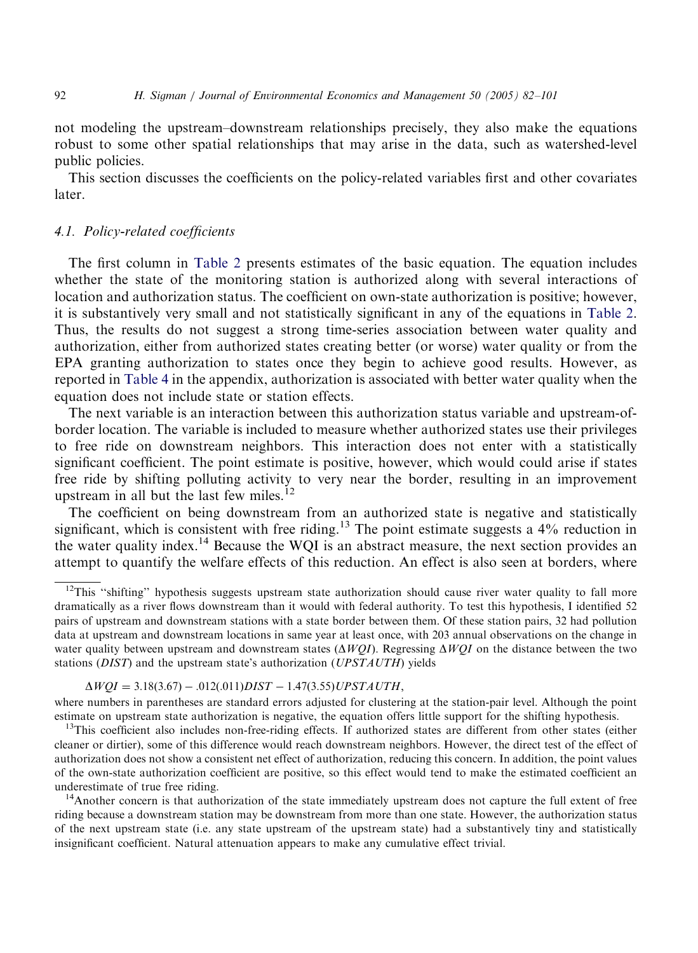not modeling the upstream–downstream relationships precisely, they also make the equations robust to some other spatial relationships that may arise in the data, such as watershed-level public policies.

This section discusses the coefficients on the policy-related variables first and other covariates later.

# 4.1. Policy-related coefficients

The first column in Table 2 presents estimates of the basic equation. The equation [includes](#page-9-0) whether the state of the monitoring station is authorized along with several interactions of location and authorization status. The coefficient on own-state authorization is positive; however, it is substantively very small and not statistically significant in any of the equations in Table 2. Thus, the [results d](#page-16-0)o not suggest a strong time-series association between water quality and authorization, either from authorized states creating better (or worse) water quality or from the EPA granting authorization to states once they begin to achieve good results. However, as reported in Table 4 in the appendix, authorization is associated with better water quality when the equation does not include state or station effects.

The next variable is an interaction between this authorization status variable and upstream-ofborder location. The variable is included to measure whether authorized states use their privileges to free ride on downstream neighbors. This interaction does not enter with a statistically significant coefficient. The point estimate is positive, however, which would could arise if states free ride by shifting polluting activity to very near the border, resulting in an improvement upstream in all but the last few miles.<sup>12</sup>

The coefficient on being downstream from an authorized state is negative and statistically significant, which is consistent with free riding.<sup>13</sup> The point estimate suggests a  $4\%$  reduction in the water quality index.14 Because the WQI is an abstract measure, the next section provides an attempt to quantify the welfare effects of this reduction. An effect is also seen at borders, where

## $\Delta WQI = 3.18(3.67) - .012(.011) DIST - 1.47(3.55) UPSTAUTH,$

riding because a downstream station may be downstream from more than one state. However, the authorization status of the next upstream state (i.e. any state upstream of the upstream state) had a substantively tiny and statistically insignificant coefficient. Natural attenuation appears to make any cumulative effect trivial.

 $12$ This "shifting" hypothesis suggests upstream state authorization should cause river water quality to fall more dramatically as a river flows downstream than it would with federal authority. To test this hypothesis, I identified 52 pairs of upstream and downstream stations with a state border between them. Of these station pairs, 32 had pollution data at upstream and downstream locations in same year at least once, with 203 annual observations on the change in water quality between upstream and downstream states  $(\Delta WQI)$ . Regressing  $\Delta WQI$  on the distance between the two stations ( $DIST$ ) and the upstream state's authorization ( $UPSTAUTH$ ) yields

where numbers in parentheses are standard errors adjusted for clustering at the station-pair level. Although the point estimate on upstream state authorization is negative, the equation offers little support for the shifting hypothesis.<br><sup>13</sup>This coefficient also includes non-free-riding effects. If authorized states are different from othe

cleaner or dirtier), some of this difference would reach downstream neighbors. However, the direct test of the effect of authorization does not show a consistent net effect of authorization, reducing this concern. In addition, the point values of the own-state authorization coefficient are positive, so this effect would tend to make the estimated coefficient an underestimate of true free riding.<br><sup>14</sup>Another concern is that authorization of the state immediately upstream does not capture the full extent of free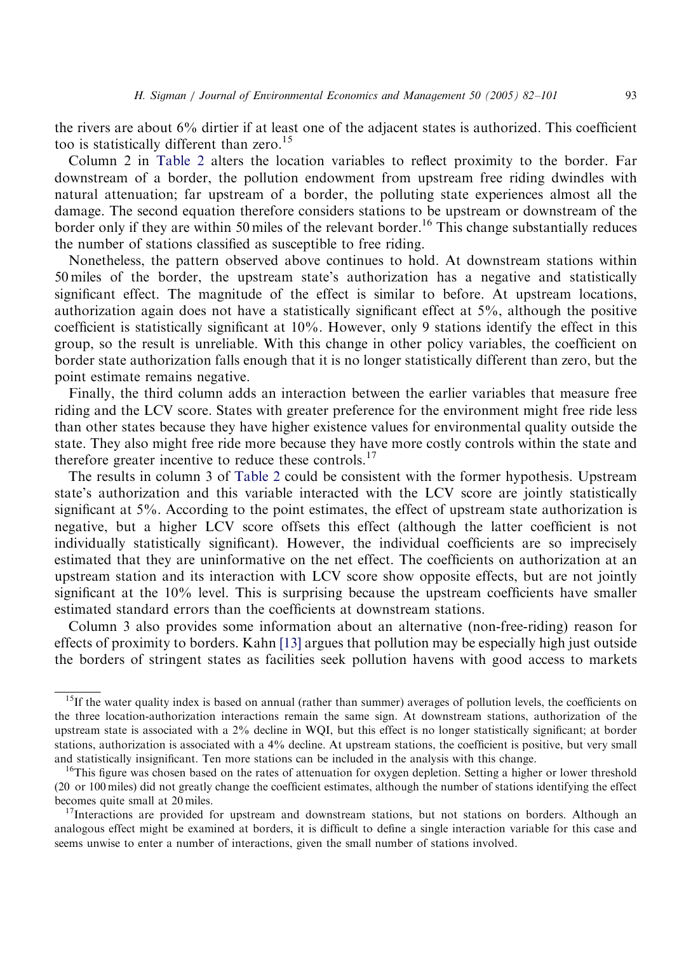the rivers are ab[out](#page-9-0) [6%](#page-9-0) [d](#page-9-0)irtier if at least one of the adjacent states is authorized. This coefficient too is statistically different than zero.<sup>15</sup>

Column 2 in Table 2 alters the location variables to reflect proximity to the border. Far downstream of a border, the pollution endowment from upstream free riding dwindles with natural attenuation; far upstream of a border, the polluting state experiences almost all the damage. The second equation therefore considers stations to be upstream or downstream of the border only if they are within 50 miles of the relevant border.<sup>16</sup> This change substantially reduces the number of stations classified as susceptible to free riding.

Nonetheless, the pattern observed above continues to hold. At downstream stations within 50 miles of the border, the upstream state's authorization has a negative and statistically significant effect. The magnitude of the effect is similar to before. At upstream locations, authorization again does not have a statistically significant effect at 5%, although the positive coefficient is statistically significant at 10%. However, only 9 stations identify the effect in this group, so the result is unreliable. With this change in other policy variables, the coefficient on border state authorization falls enough that it is no longer statistically different than zero, but the point estimate remains negative.

Finally, the third column adds an interaction between the earlier variables that measure free riding and the LCV score. States with greater preference for the environment might free ride less than other states because the[y have hi](#page-9-0)gher existence values for environmental quality outside the state. They also might free ride more because they have more costly controls within the state and therefore greater incentive to reduce these controls.<sup>17</sup>

The results in column 3 of Table 2 could be consistent with the former hypothesis. Upstream state's authorization and this variable interacted with the LCV score are jointly statistically significant at 5%. According to the point estimates, the effect of upstream state authorization is negative, but a higher LCV score offsets this effect (although the latter coefficient is not individually statistically significant). However, the individual coefficients are so imprecisely estimated that they are uninformative on the net effect. The coefficients on authorization at an upstream station and its interaction with LCV score show opposite effects, but are not jointly significant at the 10% level. This is [sur](#page-18-0)prising because the upstream coefficients have smaller estimated standard errors than the coefficients at downstream stations.

Column 3 also provides some information about an alternative (non-free-riding) reason for effects of proximity to borders. Kahn [13] argues that pollution may be especially high just outside the borders of stringent states as facilities seek pollution havens with good access to markets

 $15$ If the water quality index is based on annual (rather than summer) averages of pollution levels, the coefficients on the three location-authorization interactions remain the same sign. At downstream stations, authorization of the upstream state is associated with a 2% decline in WQI, but this effect is no longer statistically significant; at border stations, authorization is associated with a 4% decline. At upstream stations, the coefficient is positive, but very small and statistically insignificant. Ten more stations can be included in the analysis with this change

 $16$ This figure was chosen based on the rates of attenuation for oxygen depletion. Setting a higher or lower threshold (20 or 100 miles) did not greatly change the coefficient estimates, although the number of stations identifying the effect becomes quite small at 20 miles.<br><sup>17</sup>Interactions are provided for upstream and downstream stations, but not stations on borders. Although an

analogous effect might be examined at borders, it is difficult to define a single interaction variable for this case and seems unwise to enter a number of interactions, given the small number of stations involved.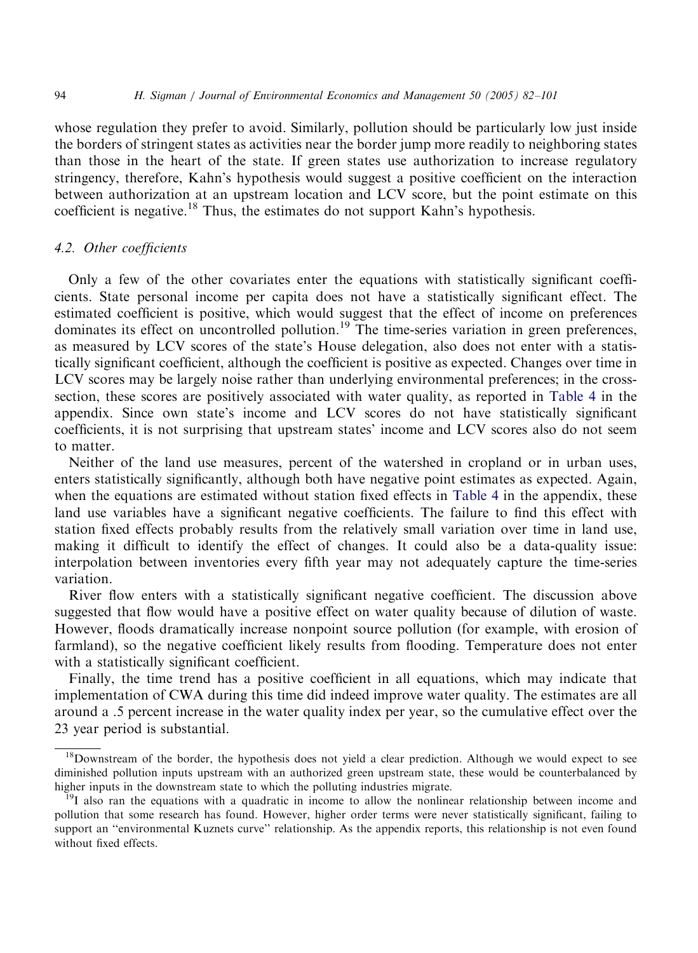whose regulation they prefer to avoid. Similarly, pollution should be particularly low just inside the borders of stringent states as activities near the border jump more readily to neighboring states than those in the heart of the state. If green states use authorization to increase regulatory stringency, therefore, Kahn's hypothesis would suggest a positive coefficient on the interaction between authorization at an upstream location and LCV score, but the point estimate on this coefficient is negative.<sup>18</sup> Thus, the estimates do not support Kahn's hypothesis.

# 4.2. Other coefficients

Only a few of the other covariates enter the equations with statistically significant coefficients. State personal income per capita does not have a statistically significant effect. The estimated coefficient is positive, which would suggest that the effect of income on preferences dominates its effect on uncontrolled pollution.<sup>19</sup> The time-series variation in green preferences, as measured by LCV scores of the state's House delegation, also does not ente[r with a](#page-16-0) statistically significant coefficient, although the coefficient is positive as expected. Changes over time in LCV scores may be largely noise rather than underlying environmental preferences; in the crosssection, these scores are positively associated with water quality, as reported in Table 4 in the appendix. Since own state's income and LCV scores do not have statistically significant coefficients, it is not surprising that upstream states' income and LCV scores also do not seem to matter.

Neither of the land use measures, percent of the watershed [in](#page-16-0) [cropl](#page-16-0)and or in urban uses, enters statistically significantly, although both have negative point estimates as expected. Again, when the equations are estimated without station fixed effects in Table 4 in the appendix, these land use variables have a significant negative coefficients. The failure to find this effect with station fixed effects probably results from the relatively small variation over time in land use, making it difficult to identify the effect of changes. It could also be a data-quality issue: interpolation between inventories every fifth year may not adequately capture the time-series variation.

River flow enters with a statistically significant negative coefficient. The discussion above suggested that flow would have a positive effect on water quality because of dilution of waste. However, floods dramatically increase nonpoint source pollution (for example, with erosion of farmland), so the negative coefficient likely results from flooding. Temperature does not enter with a statistically significant coefficient.

Finally, the time trend has a positive coefficient in all equations, which may indicate that implementation of CWA during this time did indeed improve water quality. The estimates are all around a .5 percent increase in the water quality index per year, so the cumulative effect over the 23 year period is substantial.

<sup>&</sup>lt;sup>18</sup>Downstream of the border, the hypothesis does not yield a clear prediction. Although we would expect to see diminished pollution inputs upstream with an authorized green upstream state, these would be counterbalanced by higher inputs in the downstream state to which the polluting industries migrate.  $19I$  also ran the equations with a quadratic in income to allow the nonlinear relationship between income and

pollution that some research has found. However, higher order terms were never statistically significant, failing to support an ''environmental Kuznets curve'' relationship. As the appendix reports, this relationship is not even found without fixed effects.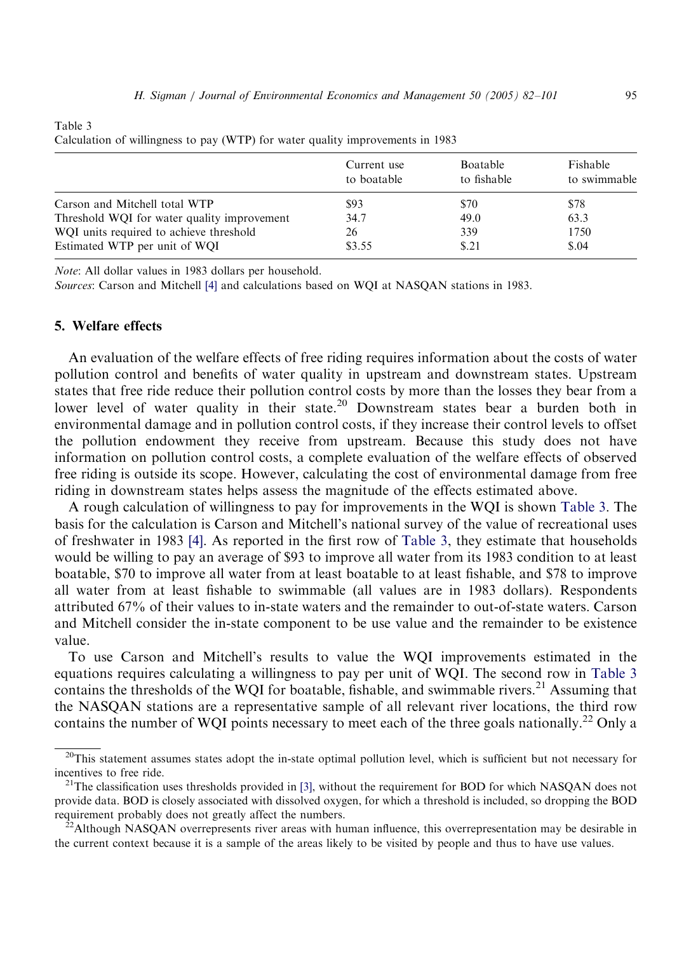|                                             | <b>Boatable</b><br>Current use<br>to fishable<br>to boatable |       | Fishable     |  |
|---------------------------------------------|--------------------------------------------------------------|-------|--------------|--|
|                                             |                                                              |       | to swimmable |  |
| Carson and Mitchell total WTP               | \$93                                                         | \$70  | \$78         |  |
| Threshold WQI for water quality improvement | 34.7                                                         | 49.0  | 63.3         |  |
| WQI units required to achieve threshold     | 26                                                           | 339   | 1750         |  |
| Estimated WTP per unit of WQI               | \$3.55                                                       | \$.21 | \$.04        |  |

Table 3 Calculation of willingness to pay (WTP) for water quality improvements in 1983

Note: All dollar values in 1983 dollars per household.

Sources: Carson and Mitchell [4] and calculations based on WQI at NASQAN stations in 1983.

### 5. Welfare effects

An evaluation of the welfare effects of free riding requires information about the costs of water pollution control and benefits of water quality in upstream and downstream states. Upstream states that free ride reduce their pollution control costs by more than the losses they bear from a lower level of water quality in their state.<sup>20</sup> Downstream states bear a burden both in environmental damage and in pollution control costs, if they increase their control levels to offset the pollution endowment they receive from upstream. Because this study does not have information on pollution control costs, a complete evaluation of the welfare effects of observed free riding is outside its scope. However, calculating the cost of environmental damage from free riding in downstream [sta](#page-18-0)tes helps assess the magnitude of the effects estimated above.

A rough calculation of willingness to pay for improvements in the WQI is shown Table 3. The basis for the calculation is Carson and Mitchell's national survey of the value of recreational uses of freshwater in 1983 [4]. As reported in the first row of Table 3, they estimate that households would be willing to pay an average of \$93 to improve all water from its 1983 condition to at least boatable, \$70 to improve all water from at least boatable to at least fishable, and \$78 to improve all water from at least fishable to swimmable (all values are in 1983 dollars). Respondents attributed 67% of their values to in-state waters and the remainder to out-of-state waters. Carson and Mitchell consider the in-state component to be use value and the remainder to be existence value.

To use Carson and Mitchell's results to value the WQI improvements estimated in the equations requires calculating a willingness to pay per unit of WQI. The second row in Table 3 contains the thresholds of the WQI for boatable, fishable, and swimmable rivers.<sup>21</sup> Assuming that the NASQAN stations are a representative sample of all relevant river locations, the third row contains the number of WQI points necessary to meet each of the three goals nationally.<sup>22</sup> Only a

<sup>&</sup>lt;sup>20</sup>This statement assumes states adopt the in-state optimal pollution level, which is sufficient but not necessary for incentives to free ride.<br><sup>21</sup>The classification uses thresholds provided in [3], without the requirement for BOD for which NASQAN does not

provide data. BOD is closely associated with dissolved oxygen, for which a threshold is included, so dropping the BOD requirement probably does not greatly affect the numbers.<br><sup>22</sup>Although NASQAN overrepresents river areas with human influence, this overrepresentation may be desirable in

the current context because it is a sample of the areas likely to be visited by people and thus to have use values.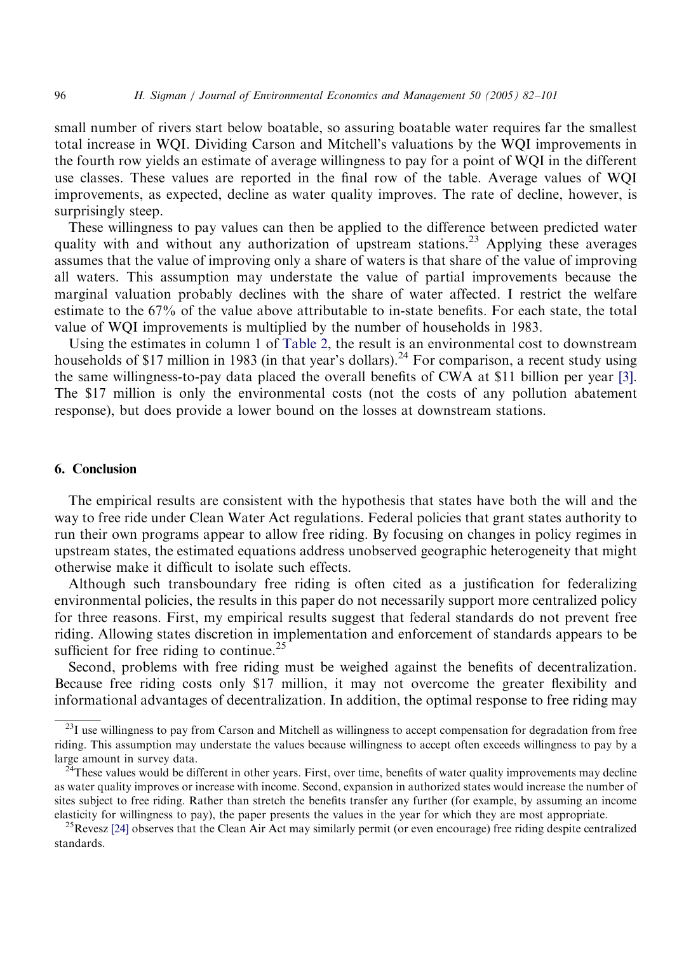small number of rivers start below boatable, so assuring boatable water requires far the smallest total increase in WQI. Dividing Carson and Mitchell's valuations by the WQI improvements in the fourth row yields an estimate of average willingness to pay for a point of WQI in the different use classes. These values are reported in the final row of the table. Average values of WQI improvements, as expected, decline as water quality improves. The rate of decline, however, is surprisingly steep.

These willingness to pay values can then be applied to the difference between predicted water quality with and without any authorization of upstream stations.<sup>23</sup> Applying these averages assumes that the value of improving only a share of waters is that share of the value of improving all waters. This assumption may understate the value of partial improvements because the marginal valuation probably decline[s with t](#page-9-0)he share of water affected. I restrict the welfare estimate to the 67% of the value above attributable to in-state benefits. For each state, the total value of WQI improvements is multiplied by the number of households in 1983.

Using the estimates in column 1 of Table 2, the result is an environmental cost to downstream households of \$17 million in 1983 (in that year's dollars).<sup>24</sup> For comparison, a recent study using the same willingness-to-pay data placed the overall benefits of CWA at \$11 billion per year [3]. The \$17 million is only the environmental costs (not the costs of any pollution abatement response), but does provide a lower bound on the losses at downstream stations.

#### 6. Conclusion

The empirical results are consistent with the hypothesis that states have both the will and the way to free ride under Clean Water Act regulations. Federal policies that grant states authority to run their own programs appear to allow free riding. By focusing on changes in policy regimes in upstream states, the estimated equations address unobserved geographic heterogeneity that might otherwise make it difficult to isolate such effects.

Although such transboundary free riding is often cited as a justification for federalizing environmental policies, the results in this paper do not necessarily support more centralized policy for three reasons. First, my empirical results suggest that federal standards do not prevent free riding. Allowing states discretion in implementation and enforcement of standards appears to be sufficient for free riding to continue.<sup>25</sup>

Second, problems with free riding must be weighed against the benefits of decentralization. Because free riding costs only \$17 million, it may not overcome the greater flexibility and informational advantages of decentralization. In addition, the optimal response to free riding may

 $^{23}$ I use willingness to pay from Carson and Mitchell as willingness to accept compensation for degradation from free riding. This assumption may understate the values because willingness to accept often exceeds willingness to pay by a large amount in survey data.<br><sup>24</sup>These values would be different in other years. First, over time, benefits of water quality improvements may decline

as water qu[ality](#page-19-0) improves or increase with income. Second, expansion in authorized states would increase the number of sites subject to free riding. Rather than stretch the benefits transfer any further (for example, by assuming an income elasticity for willingness to pay), the paper presents the values in the year for which they are most appropriate.<br><sup>25</sup>Revesz [24] observes that the Clean Air Act may similarly permit (or even encourage) free riding despi

standards.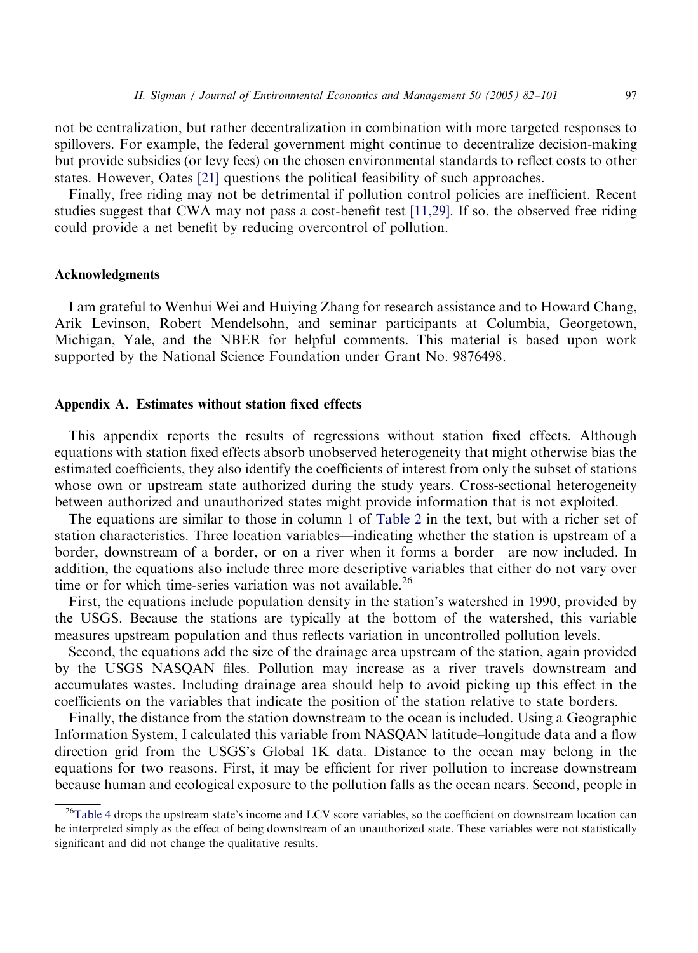not be centralization, b[ut ra](#page-19-0)ther decentralization in combination with more targeted responses to spillovers. For example, the federal government might continue to decentralize decision-making but provide subsidies (or levy fees) on the chosen environm[ental sta](#page-18-0)ndards to reflect costs to other states. However, Oates [21] questions the political feasibility of such approaches.

Finally, free riding may not be detrimental if pollution control policies are inefficient. Recent studies suggest that CWA may not pass a cost-benefit test [11,29]. If so, the observed free riding could provide a net benefit by reducing overcontrol of pollution.

## Acknowledgments

I am grateful to Wenhui Wei and Huiying Zhang for research assistance and to Howard Chang, Arik Levinson, Robert Mendelsohn, and seminar participants at Columbia, Georgetown, Michigan, Yale, and the NBER for helpful comments. This material is based upon work supported by the National Science Foundation under Grant No. 9876498.

# Appendix A. Estimates without station fixed effects

This appendix reports the results of regressions without station fixed effects. Although equations with station fixed effects absorb unobserved heterogeneity that might otherwise bias the estimated coefficients, they also identify the coefficien[ts of inte](#page-9-0)rest from only the subset of stations whose own or upstream state authorized during the study years. Cross-sectional heterogeneity between authorized and unauthorized states might provide information that is not exploited.

The equations are similar to those in column 1 of Table 2 in the text, but with a richer set of station characteristics. Three location variables—indicating whether the station is upstream of a border, downstream of a border, or on a river when it forms a border—are now included. In addition, the equations also include three more descriptive variables that either do not vary over time or for which time-series variation was not available.<sup>26</sup>

First, the equations include population density in the station's watershed in 1990, provided by the USGS. Because the stations are typically at the bottom of the watershed, this variable measures upstream population and thus reflects variation in uncontrolled pollution levels.

Second, the equations add the size of the drainage area upstream of the station, again provided by the USGS NASQAN files. Pollution may increase as a river travels downstream and accumulates wastes. Including drainage area should help to avoid picking up this effect in the coefficients on the variables that indicate the position of the station relative to state borders.

Finally, the distance from the station downstream to the ocean is included. Using a Geographic Information System, I calculated this variable from NASQAN latitude–longitude data and a flow direction grid from the USGS's Global 1K data. Distance to the ocean may belong in the eq[uations](#page-16-0) for two reasons. First, it may be efficient for river pollution to increase downstream because human and ecological exposure to the pollution falls as the ocean nears. Second, people in

 $^{26}$ Table 4 drops the upstream state's income and LCV score variables, so the coefficient on downstream location can be interpreted simply as the effect of being downstream of an unauthorized state. These variables were not statistically significant and did not change the qualitative results.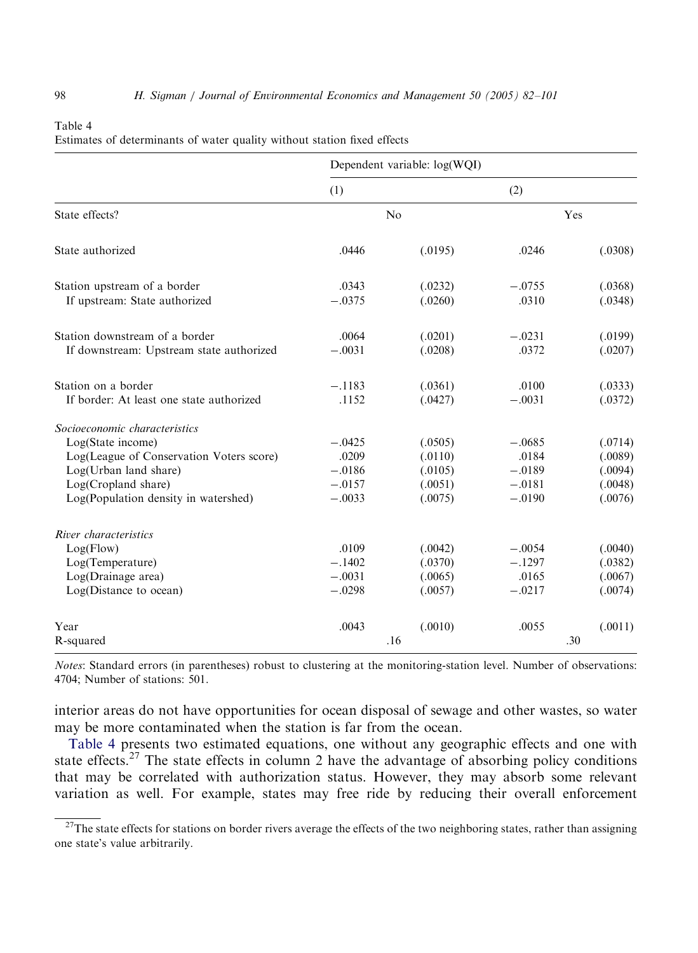## Table 4

Estimates of determinants of water quality without station fixed effects

|                                          | Dependent variable: log(WQI) |         |          |         |  |
|------------------------------------------|------------------------------|---------|----------|---------|--|
| State effects?                           | (1)                          |         | (2)      |         |  |
|                                          | No                           |         |          | Yes     |  |
| State authorized                         | .0446                        | (.0195) | .0246    | (.0308) |  |
| Station upstream of a border             | .0343                        | (.0232) | $-.0755$ | (.0368) |  |
| If upstream: State authorized            | $-.0375$                     | (.0260) | .0310    | (.0348) |  |
| Station downstream of a border           | .0064                        | (.0201) | $-.0231$ | (.0199) |  |
| If downstream: Upstream state authorized | $-.0031$                     | (.0208) | .0372    | (.0207) |  |
| Station on a border                      | $-.1183$                     | (.0361) | .0100    | (.0333) |  |
| If border: At least one state authorized | .1152                        | (.0427) | $-.0031$ | (.0372) |  |
| Socioeconomic characteristics            |                              |         |          |         |  |
| Log(State income)                        | $-.0425$                     | (.0505) | $-.0685$ | (.0714) |  |
| Log(League of Conservation Voters score) | .0209                        | (.0110) | .0184    | (.0089) |  |
| Log(Urban land share)                    | $-.0186$                     | (.0105) | $-.0189$ | (.0094) |  |
| Log(Cropland share)                      | $-.0157$                     | (.0051) | $-.0181$ | (.0048) |  |
| Log(Population density in watershed)     | $-.0033$                     | (.0075) | $-.0190$ | (.0076) |  |
| River characteristics                    |                              |         |          |         |  |
| Log(Flow)                                | .0109                        | (.0042) | $-.0054$ | (.0040) |  |
| Log(Temperature)                         | $-.1402$                     | (.0370) | $-.1297$ | (.0382) |  |
| Log(Drainage area)                       | $-.0031$                     | (.0065) | .0165    | (.0067) |  |
| Log(Distance to ocean)                   | $-.0298$                     | (.0057) | $-.0217$ | (.0074) |  |
| Year                                     | .0043                        | (.0010) | .0055    | (.0011) |  |
| R-squared                                |                              | .16     |          | .30     |  |

Notes: Standard errors (in parentheses) robust to clustering at the monitoring-station level. Number of observations: 4704; Number of stations: 501.

interior areas do not have opportunities for ocean disposal of sewage and other wastes, so water may be more contaminated when the station is far from the ocean.

Table 4 presents two estimated equations, one without any geographic effects and one with state effects.<sup>27</sup> The state effects in column 2 have the advantage of absorbing policy conditions that may be correlated with authorization status. However, they may absorb some relevant variation as well. For example, states may free ride by reducing their overall enforcement

<span id="page-16-0"></span>

<sup>&</sup>lt;sup>27</sup>The state effects for stations on border rivers average the effects of the two neighboring states, rather than assigning one state's value arbitrarily.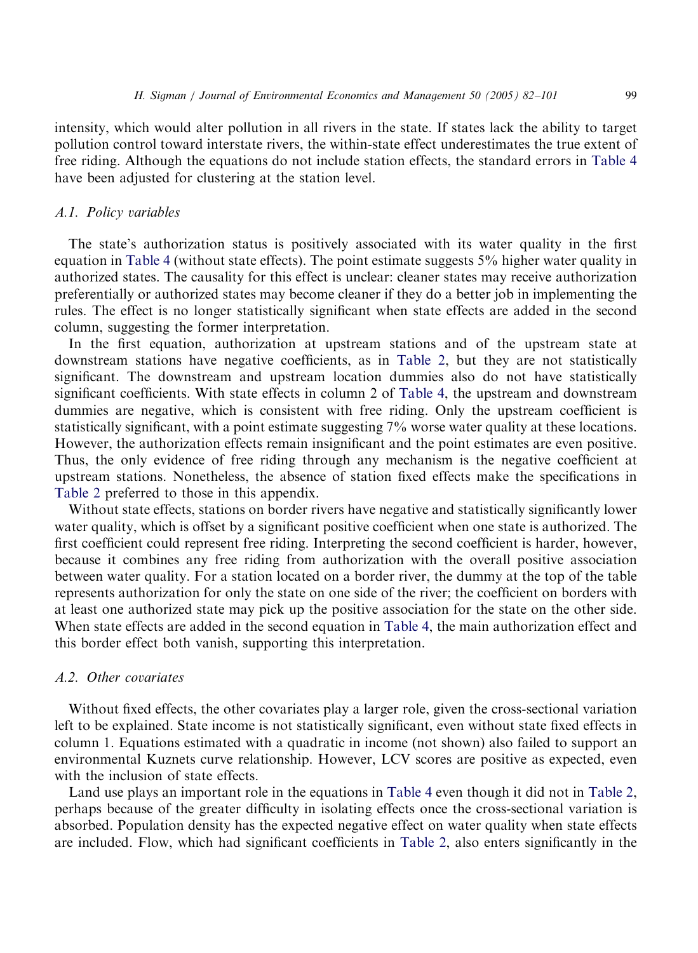intensity, which would alter pollution in all rivers in the state. If states lack the ability t[o](#page-16-0) [target](#page-16-0) pollution control toward interstate rivers, the within-state effect underestimates the true extent of free riding. Although the equations do not include station effects, the standard errors in Table 4 have been adjusted for clustering at the station level.

## A.1. Policy [variable](#page-16-0)s

The state's authorization status is positively associated with its water quality in the first equation in Table 4 (without state effects). The point estimate suggests 5% higher water quality in authorized states. The causality for this effect is unclear: cleaner states may receive authorization preferentially or authorized states may become cleaner if they do a better job in implementing the rules. The effect is no longer statistically significant wh[en state](#page-9-0) effects are added in the second column, suggesting the former interpretation.

In the first equation, authorization at upstream s[tations a](#page-16-0)nd of the upstream state at downstream stations have negative coefficients, as in Table 2, but they are not statistically significant. The downstream and upstream location dummies also do not have statistically significant coefficients. With state effects in column 2 of Table 4, the upstream and downstream dummies are negative, which is consistent with free riding. Only the upstream coefficient is statistically significant, with a point estimate suggesting 7% worse water quality at these locations. [Howeve](#page-9-0)r, the authorization effects remain insignificant and the point estimates are even positive. Thus, the only evidence of free riding through any mechanism is the negative coefficient at upstream stations. Nonetheless, the absence of station fixed effects make the specifications in Table 2 preferred to those in this appendix.

Without state effects, stations on border rivers have negative and statistically significantly lower water quality, which is offset by a significant positive coefficient when one state is authorized. The first coefficient could represent free riding. Interpreting the second coefficient is harder, however, because it combines any free riding from authorization with the overall positive association between water quality. For a station located on a bord[er river,](#page-16-0) the dummy at the top of the table represents authorization for only the state on one side of the river; the coefficient on borders with at least one authorized state may pick up the positive association for the state on the other side. When state effects are added in the second equation in Table 4, the main authorization effect and this border effect both vanish, supporting this interpretation.

# A.2. Other covariates

Without fixed effects, the other covariates play a larger role, given the cross-sectional variation left to be explained. State income is not statistically significant, even without state fixed effects in column 1. Equations estimated with a quadratic in inc[ome \(no](#page-16-0)t shown) also failed to su[pport an](#page-9-0) environmental Kuznets curve relationship. However, LCV scores are positive as expected, even with the inclusion of state effects.

Land use plays an important role in the equations in T[able 4](#page-9-0) even though it did not in Table 2, perhaps because of the greater difficulty in isolating effects once the cross-sectional variation is absorbed. Population density has the expected negative effect on water quality when state effects are included. Flow, which had significant coefficients in Table 2, also enters significantly in the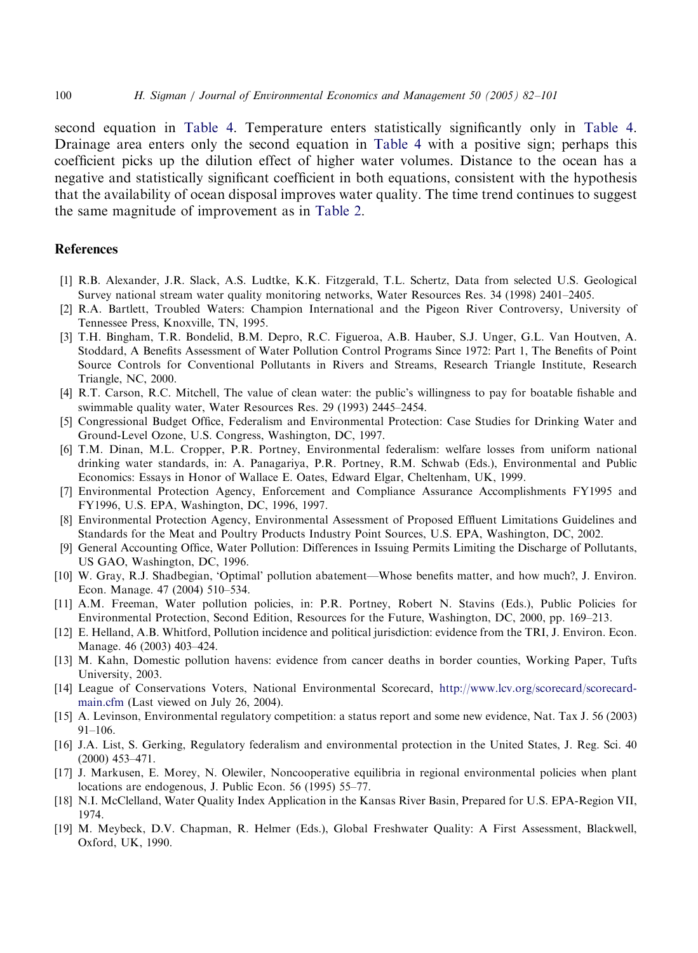<span id="page-18-0"></span>second equation in Table 4. Temperature enters statistically significantly only in Table 4. Drainage area enters only the second equation in Table 4 with a positive sign; perhaps this coefficient picks up the dilution effect of [higher w](#page-9-0)ater volumes. Distance to the ocean has a negative and statistically significant coefficient in both equations, consistent with the hypothesis that the availability of ocean disposal improves water quality. The time trend continues to suggest the same magnitude of improvement as in Table 2.

#### **References**

- [1] R.B. Alexander, J.R. Slack, A.S. Ludtke, K.K. Fitzgerald, T.L. Schertz, Data from selected U.S. Geological Survey national stream water quality monitoring networks, Water Resources Res. 34 (1998) 2401–2405.
- [2] R.A. Bartlett, Troubled Waters: Champion International and the Pigeon River Controversy, University of Tennessee Press, Knoxville, TN, 1995.
- [3] T.H. Bingham, T.R. Bondelid, B.M. Depro, R.C. Figueroa, A.B. Hauber, S.J. Unger, G.L. Van Houtven, A. Stoddard, A Benefits Assessment of Water Pollution Control Programs Since 1972: Part 1, The Benefits of Point Source Controls for Conventional Pollutants in Rivers and Streams, Research Triangle Institute, Research Triangle, NC, 2000.
- [4] R.T. Carson, R.C. Mitchell, The value of clean water: the public's willingness to pay for boatable fishable and swimmable quality water, Water Resources Res. 29 (1993) 2445–2454.
- [5] Congressional Budget Office, Federalism and Environmental Protection: Case Studies for Drinking Water and Ground-Level Ozone, U.S. Congress, Washington, DC, 1997.
- [6] T.M. Dinan, M.L. Cropper, P.R. Portney, Environmental federalism: welfare losses from uniform national drinking water standards, in: A. Panagariya, P.R. Portney, R.M. Schwab (Eds.), Environmental and Public Economics: Essays in Honor of Wallace E. Oates, Edward Elgar, Cheltenham, UK, 1999.
- [7] Environmental Protection Agency, Enforcement and Compliance Assurance Accomplishments FY1995 and FY1996, U.S. EPA, Washington, DC, 1996, 1997.
- [8] Environmental Protection Agency, Environmental Assessment of Proposed Effluent Limitations Guidelines and Standards for the Meat and Poultry Products Industry Point Sources, U.S. EPA, Washington, DC, 2002.
- [9] General Accounting Office, Water Pollution: Differences in Issuing Permits Limiting the Discharge of Pollutants, US GAO, Washington, DC, 1996.
- [10] W. Gray, R.J. Shadbegian, 'Optimal' pollution abatement—Whose benefits matter, and how much?, J. Environ. Econ. Manage. 47 (2004) 510–534.
- [11] A.M. Freeman, Water pollution policies, in: P.R. Portney, Robert N. Stavins (Eds.), Public Policies for Environmental Protection, Second Edition, Resources for the Future, Washington, DC, 2000, pp. 169–213.
- [12] E. Helland, A.B. Whitford, Pollution incidence and political jurisdiction: [evidence from the TRI, J. Environ. Econ.](http://www.lcv.org/scorecard/scorecardmain.cfm) Manage. 46 (2003) 403–424.
- [13] [M.](http://www.lcv.org/scorecard/scorecardmain.cfm) [Kahn](http://www.lcv.org/scorecard/scorecardmain.cfm), Domestic pollution havens: evidence from cancer deaths in border counties, Working Paper, Tufts University, 2003.
- [14] League of Conservations Voters, National Environmental Scorecard, http://www.lcv.org/scorecard/scorecardmain.cfm (Last viewed on July 26, 2004).
- [15] A. Levinson, Environmental regulatory competition: a status report and some new evidence, Nat. Tax J. 56 (2003) 91–106.
- [16] J.A. List, S. Gerking, Regulatory federalism and environmental protection in the United States, J. Reg. Sci. 40 (2000) 453–471.
- [17] J. Markusen, E. Morey, N. Olewiler, Noncooperative equilibria in regional environmental policies when plant locations are endogenous, J. Public Econ. 56 (1995) 55–77.
- [18] N.I. McClelland, Water Quality Index Application in the Kansas River Basin, Prepared for U.S. EPA-Region VII, 1974.
- [19] M. Meybeck, D.V. Chapman, R. Helmer (Eds.), Global Freshwater Quality: A First Assessment, Blackwell, Oxford, UK, 1990.